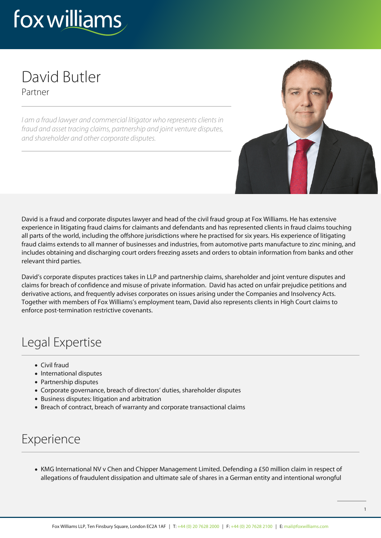# fox williams

#### David Butler Partner

I am a fraud lawyer and commercial litigator who represents clients in fraud and asset tracing claims, partnership and joint venture disputes, and shareholder and other corporate disputes.



David is a fraud and corporate disputes lawyer and head of the civil fraud group at Fox Williams. He has extensive experience in litigating fraud claims for claimants and defendants and has represented clients in fraud claims touching all parts of the world, including the offshore jurisdictions where he practised for six years. His experience of litigating fraud claims extends to all manner of businesses and industries, from automotive parts manufacture to zinc mining, and includes obtaining and discharging court orders freezing assets and orders to obtain information from banks and other relevant third parties.

David's corporate disputes practices takes in LLP and partnership claims, shareholder and joint venture disputes and claims for breach of confidence and misuse of private information. David has acted on unfair prejudice petitions and derivative actions, and frequently advises corporates on issues arising under the Companies and Insolvency Acts. Together with members of Fox Williams's employment team, David also represents clients in High Court claims to enforce post-termination restrictive covenants.

## Legal Expertise

- Civil fraud
- International disputes
- Partnership disputes
- Corporate governance, breach of directors' duties, shareholder disputes
- Business disputes: litigation and arbitration
- Breach of contract, breach of warranty and corporate transactional claims

## Experience

KMG International NV v Chen and Chipper Management Limited. Defending a £50 million claim in respect of allegations of fraudulent dissipation and ultimate sale of shares in a German entity and intentional wrongful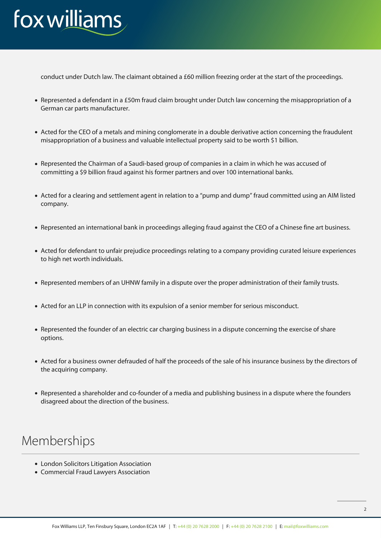## fox williams

conduct under Dutch law. The claimant obtained a £60 million freezing order at the start of the proceedings.

- Represented a defendant in a £50m fraud claim brought under Dutch law concerning the misappropriation of a German car parts manufacturer.
- Acted for the CEO of a metals and mining conglomerate in a double derivative action concerning the fraudulent misappropriation of a business and valuable intellectual property said to be worth \$1 billion.
- Represented the Chairman of a Saudi-based group of companies in a claim in which he was accused of committing a \$9 billion fraud against his former partners and over 100 international banks.
- Acted for a clearing and settlement agent in relation to a "pump and dump" fraud committed using an AIM listed company.
- Represented an international bank in proceedings alleging fraud against the CEO of a Chinese fine art business.
- Acted for defendant to unfair prejudice proceedings relating to a company providing curated leisure experiences to high net worth individuals.
- Represented members of an UHNW family in a dispute over the proper administration of their family trusts.
- Acted for an LLP in connection with its expulsion of a senior member for serious misconduct.
- Represented the founder of an electric car charging business in a dispute concerning the exercise of share options.
- Acted for a business owner defrauded of half the proceeds of the sale of his insurance business by the directors of the acquiring company.
- Represented a shareholder and co-founder of a media and publishing business in a dispute where the founders disagreed about the direction of the business.

#### Memberships

- London Solicitors Litigation Association
- Commercial Fraud Lawyers Association